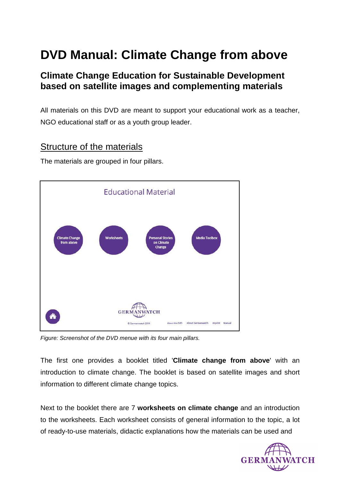# **DVD Manual: Climate Change from above**

## **Climate Change Education for Sustainable Development based on satellite images and complementing materials**

All materials on this DVD are meant to support your educational work as a teacher, NGO educational staff or as a youth group leader.

### Structure of the materials

The materials are grouped in four pillars.



Figure: Screenshot of the DVD menue with its four main pillars.

The first one provides a booklet titled '**Climate change from above**' with an introduction to climate change. The booklet is based on satellite images and short information to different climate change topics.

Next to the booklet there are 7 **worksheets on climate change** and an introduction to the worksheets. Each worksheet consists of general information to the topic, a lot of ready-to-use materials, didactic explanations how the materials can be used and

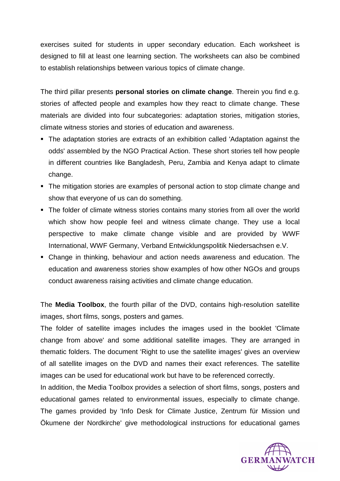exercises suited for students in upper secondary education. Each worksheet is designed to fill at least one learning section. The worksheets can also be combined to establish relationships between various topics of climate change.

The third pillar presents **personal stories on climate change**. Therein you find e.g. stories of affected people and examples how they react to climate change. These materials are divided into four subcategories: adaptation stories, mitigation stories, climate witness stories and stories of education and awareness.

- The adaptation stories are extracts of an exhibition called 'Adaptation against the odds' assembled by the NGO Practical Action. These short stories tell how people in different countries like Bangladesh, Peru, Zambia and Kenya adapt to climate change.
- The mitigation stories are examples of personal action to stop climate change and show that everyone of us can do something.
- The folder of climate witness stories contains many stories from all over the world which show how people feel and witness climate change. They use a local perspective to make climate change visible and are provided by WWF International, WWF Germany, Verband Entwicklungspolitik Niedersachsen e.V.
- Change in thinking, behaviour and action needs awareness and education. The education and awareness stories show examples of how other NGOs and groups conduct awareness raising activities and climate change education.

The **Media Toolbox**, the fourth pillar of the DVD, contains high-resolution satellite images, short films, songs, posters and games.

The folder of satellite images includes the images used in the booklet 'Climate change from above' and some additional satellite images. They are arranged in thematic folders. The document 'Right to use the satellite images' gives an overview of all satellite images on the DVD and names their exact references. The satellite images can be used for educational work but have to be referenced correctly.

In addition, the Media Toolbox provides a selection of short films, songs, posters and educational games related to environmental issues, especially to climate change. The games provided by 'Info Desk for Climate Justice, Zentrum für Mission und Ökumene der Nordkirche' give methodological instructions for educational games

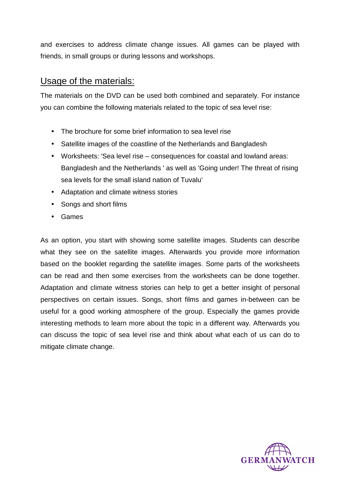and exercises to address climate change issues. All games can be played with friends, in small groups or during lessons and workshops.

### Usage of the materials:

The materials on the DVD can be used both combined and separately. For instance you can combine the following materials related to the topic of sea level rise:

- The brochure for some brief information to sea level rise
- Satellite images of the coastline of the Netherlands and Bangladesh
- Worksheets: 'Sea level rise consequences for coastal and lowland areas: Bangladesh and the Netherlands ' as well as 'Going under! The threat of rising sea levels for the small island nation of Tuvalu'
- Adaptation and climate witness stories
- Songs and short films
- Games

As an option, you start with showing some satellite images. Students can describe what they see on the satellite images. Afterwards you provide more information based on the booklet regarding the satellite images. Some parts of the worksheets can be read and then some exercises from the worksheets can be done together. Adaptation and climate witness stories can help to get a better insight of personal perspectives on certain issues. Songs, short films and games in-between can be useful for a good working atmosphere of the group. Especially the games provide interesting methods to learn more about the topic in a different way. Afterwards you can discuss the topic of sea level rise and think about what each of us can do to mitigate climate change.

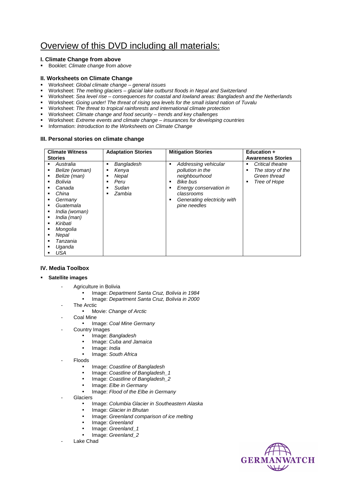# Overview of this DVD including all materials:

#### **I. Climate Change from above**

Booklet: Climate change from above

#### **II. Worksheets on Climate Change**

- Worksheet: Global climate change general issues
- Worksheet: The melting glaciers glacial lake outburst floods in Nepal and Switzerland
- Worksheet: Sea level rise consequences for coastal and lowland areas: Bangladesh and the Netherlands
- Worksheet: Going under! The threat of rising sea levels for the small island nation of Tuvalu
- Worksheet: The threat to tropical rainforests and international climate protection
- Worksheet: Climate change and food security trends and key challenges
- Worksheet: Extreme events and climate change insurances for developing countries
- **Information: Introduction to the Worksheets on Climate Change**

#### **III. Personal stories on climate change**

| <b>Climate Witness</b>                                                                                                                                                                                                                                                                     | <b>Adaptation Stories</b>                                                                          | <b>Mitigation Stories</b>                                                                                                                                         | <b>Education +</b>                                                                  |
|--------------------------------------------------------------------------------------------------------------------------------------------------------------------------------------------------------------------------------------------------------------------------------------------|----------------------------------------------------------------------------------------------------|-------------------------------------------------------------------------------------------------------------------------------------------------------------------|-------------------------------------------------------------------------------------|
| <b>Stories</b>                                                                                                                                                                                                                                                                             |                                                                                                    |                                                                                                                                                                   | <b>Awareness Stories</b>                                                            |
| Australia<br>Belize (woman)<br>٠<br>Belize (man)<br>٠<br>Bolivia<br>$\blacksquare$<br>Canada<br>٠<br>China<br>٠<br>Germany<br>Guatemala<br>$\blacksquare$<br>India (woman)<br>٠<br>India (man)<br>Kiribati<br>٠<br>Mongolia<br>٠<br>Nepal<br>٠<br>Tanzania<br>٠<br>Uqanda<br>٠<br>USA<br>٠ | Bangladesh<br>٠<br>Kenya<br>٠<br>Nepal<br>٠<br>Peru<br>٠<br>Sudan<br>٠<br>Zambia<br>$\blacksquare$ | Addressing vehicular<br>٠<br>pollution in the<br>neighbourhood<br>Bike bus<br>Energy conservation in<br>classrooms<br>Generating electricity with<br>pine needles | Critical theatre<br>٠<br>The story of the<br>٠<br>Green thread<br>Tree of Hope<br>٠ |

#### **IV. Media Toolbox**

- **Satellite images** 
	- Agriculture in Bolivia
		- Image: Department Santa Cruz, Bolivia in 1984
		- Image: Department Santa Cruz, Bolivia in 2000
	- The Arctic
		- Movie: Change of Arctic
			- Coal Mine • Image: Coal Mine Germany
	- Country Images
		- Image: Bangladesh
		- Image: Cuba and Jamaica
		- Image: India
		- Image: South Africa
	- **Floods** 
		- Image: Coastline of Bangladesh
		- Image: Coastline of Bangladesh\_1
		- Image: Coastline of Bangladesh\_2
		- Image: Elbe in Germany
		- Image: Flood of the Elbe in Germany
	- **Glaciers** 
		- Image: Columbia Glacier in Southeastern Alaska
		- Image: Glacier in Bhutan
		- Image: Greenland comparison of ice melting
		- Image: Greenland
		- Image: Greenland\_1
		- Image: Greenland 2
	- Lake Chad

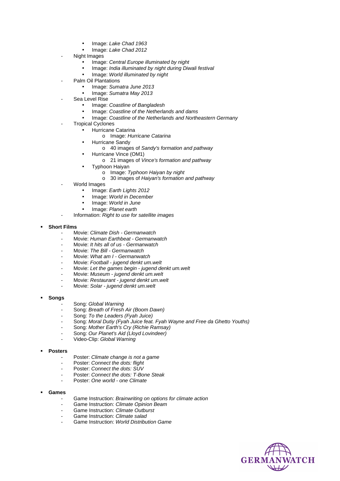- Image: Lake Chad 1963
- Image: Lake Chad 2012
- Night Images
	- Image: Central Europe illuminated by night
	- Image: India illuminated by night during Diwali festival
	- Image: World illuminated by night
- Palm Oil Plantations
	- Image: Sumatra June 2013
	- Image: Sumatra May 2013
- Sea Level Rise
	- Image: Coastline of Bangladesh
	- Image: Coastline of the Netherlands and dams
	- Image: Coastline of the Netherlands and Northeastern Germany
- **Tropical Cyclones** 
	- Hurricane Catarina
		- o Image: Hurricane Catarina
	- Hurricane Sandy
		- o 40 images of Sandy's formation and pathway
	- Hurricane Vince (OM1)
		- o 21 images of Vince's formation and pathway
	- Typhoon Haiyan
		- o Image: Typhoon Haiyan by night
		- o 30 images of Haiyan's formation and pathway
- World Images
	- Image: Earth Lights 2012
	- Image: World in December
	- Image: World in June
	- Image: Planet earth
- Information: Right to use for satellite images

#### **Short Films**

- Movie: Climate Dish Germanwatch
- Movie: Human Earthbeat Germanwatch
- Movie: It hits all of us Germanwatch
- Movie: The Bill Germanwatch
- Movie: What am I Germanwatch
- Movie: Football jugend denkt um.welt
- Movie: Let the games begin jugend denkt um.welt
- Movie: Museum jugend denkt um.welt
- Movie: Restaurant jugend denkt um.welt
- Movie: Solar jugend denkt um.welt

#### **Songs**

- Song: Global Warning
- Song: Breath of Fresh Air (Boom Dawn)
- Song: To the Leaders (Fyah Juice)
- Song: Moral Dutiy (Fyah Juice feat. Fyah Wayne and Free da Ghetto Youths)
- Song: Mother Earth's Cry (Richie Ramsay)
- Song: Our Planet's Aid (Lloyd Lovindeer)
- Video-Clip: Global Warning

#### **Posters**

- Poster: Climate change is not a game
- Poster: Connect the dots: flight
- Poster: Connect the dots: SUV
- Poster: Connect the dots: T-Bone Steak
- Poster: One world one Climate

#### **Games**

- Game Instruction: Brainwriting on options for climate action
- Game Instruction: Climate Opinion Beam
- Game Instruction: Climate Outburst
- Game Instruction: Climate salad
- Game Instruction: World Distribution Game